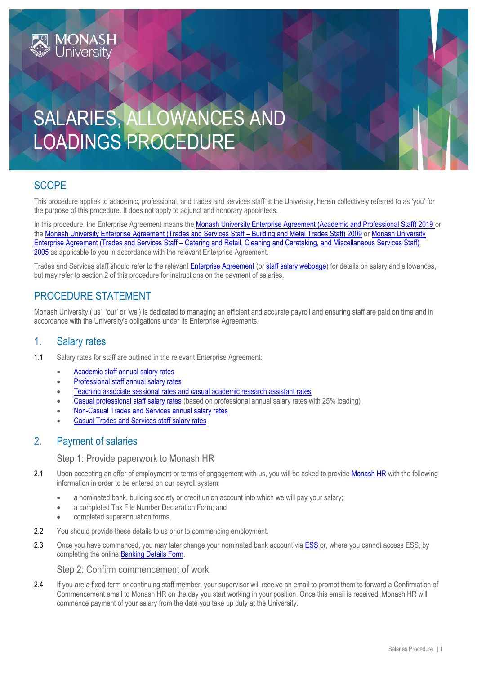# SALARIES, ALLOWANCES AND LOADINGS PROCEDURE

# **SCOPE**

This procedure applies to academic, professional, and trades and services staff at the University, herein collectively referred to as 'you' for the purpose of this procedure. It does not apply to adjunct and honorary appointees.

In this procedure, the Enterprise Agreement means the [Monash University Enterprise Agreement \(Academic and Professional Staff\) 2019](https://www.monash.edu/current-enterprise-agreements/academic-professional-2019) or the Monash University Enterprise Agreement (Trades and Services Staff – Building and Metal Trades Staff) 2009 or Monash University Enterprise Agreement (Trades and Services Staff – Catering and Retail, Cleaning and Caretaking, and Miscellaneous Services Staff) 2005 as applicable to you in accordance with the relevant Enterprise Agreement.

Trades and Services staff should refer to the relevan[t Enterprise Agreement](https://www.monash.edu/current-enterprise-agreements) (or [staff salary webpage\)](https://www.monash.edu/enterprise-agreements/staff-salary-rates) for details on salary and allowances, but may refer to section 2 of this procedure for instructions on the payment of salaries.

# PROCEDURE STATEMENT

**MONASH**<br>University

Monash University ('us', 'our' or 'we') is dedicated to managing an efficient and accurate payroll and ensuring staff are paid on time and in accordance with the University's obligations under its Enterprise Agreements.

## 1. Salary rates

- 1.1 Salary rates for staff are outlined in the relevant Enterprise Agreement:
	- Academic [staff annual salary rates](https://www.monash.edu/enterprise-agreements/staff-salary-rates/academic)
	- [Professional staff annual salary rates](https://www.monash.edu/enterprise-agreements/staff-salary-rates/professional)
	- Teaching associate sessional rates [and casual academic research assistant](https://www.monash.edu/enterprise-agreements/staff-salary-rates/teaching-associate-and-casual-academic-research-assistant) rates
	- [Casual professional staff salary rates](https://www.monash.edu/enterprise-agreements/staff-salary-rates/casual-professional) (based on professional annual salary rates with 25% loading)
	- [Non-Casual Trades and Services annual salary rates](https://www.monash.edu/enterprise-agreements/staff-salary-rates/trades-and-services-non-casual)
	- [Casual Trades and Services staff salary rates](https://www.monash.edu/enterprise-agreements/staff-salary-rates/trades-and-services)

## 2. Payment of salaries

#### Step 1: Provide paperwork to Monash HR

- 2.1 Upon accepting an offer of employment or terms of engagement with us, you will be asked to provide [Monash HR](https://www.intranet.monash/hr/contact-us) with the following information in order to be entered on our payroll system:
	- a nominated bank, building society or credit union account into which we will pay your salary;
	- a completed Tax File Number Declaration Form; and
	- completed superannuation forms.
- 2.2 You should provide these details to us prior to commencing employment.
- 2.3 Once you have commenced, you may later change your nominated bank account via **ESS** or, where you cannot access [ESS](https://eservices.monash.edu.au/irj/portal), by completing the online **Banking Details Form**.

#### Step 2: Confirm commencement of work

2.4 If you are a fixed-term or continuing staff member, your supervisor will receive an email to prompt them to forward a Confirmation of Commencement email to Monash HR on the day you start working in your position. Once this email is received, Monash HR will commence payment of your salary from the date you take up duty at the University.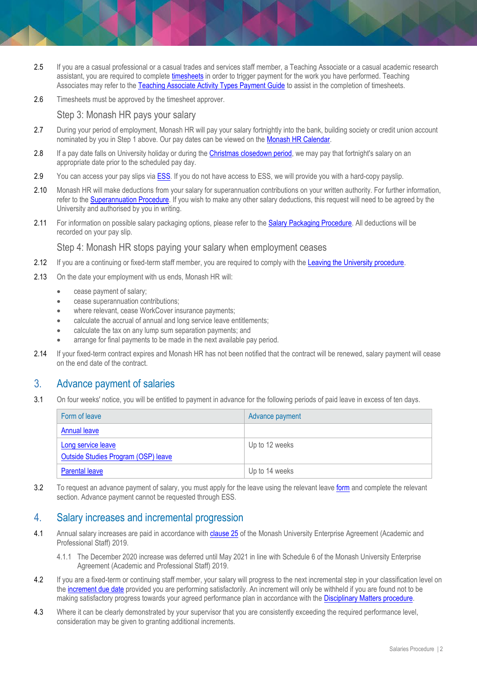- 2.5 If you are a casual professional or a casual trades and services staff member, a Teaching Associate or a casual academic research assistant, you are required to complet[e timesheets](https://www.monash.edu/eforms-resources/frevvo-forms/hr/timesheets) in order to trigger payment for the work you have performed. Teaching Associates may refer to th[e Teaching Associate Activity Types Payment Guide](https://www.intranet.monash/hr/assets/docs/tools-and-resources/staff-resources/induction/new-staff-member/salaries-and-benefits/timesheets/acad.pdf) to assist in the completion of timesheets.
- 2.6 Timesheets must be approved by the timesheet approver.

#### Step 3: Monash HR pays your salary

- 2.7 During your period of employment. Monash HR will pay your salary fortnightly into the bank, building society or credit union account nominated by you in Step 1 above. Our pay dates can be viewed on the [Monash HR Calendar.](http://www.adm.monash.edu.au/human-resources/calendar/)
- 2.8 If a pay date falls on University holiday or during the *Christmas closedown period*, we may pay that fortnight's salary on an appropriate date prior to the scheduled pay day.
- 2.9 You can access your pay slips via **ESS**. If you do not have access to ESS, we will provide you with a hard-copy payslip.
- 2.10 Monash HR will make deductions from your salary for superannuation contributions on your written authority. For further information, refer to the [Superannuation Procedure.](https://publicpolicydms.monash.edu/Monash/documents/1935733) If you wish to make any other salary deductions, this request will need to be agreed by the University and authorised by you in writing.
- 2.11 For information on possible salary packaging options, please refer to the [Salary Packaging Procedure.](https://publicpolicydms.monash.edu/Monash/documents/1935719) All deductions will be recorded on your pay slip.

#### Step 4: Monash HR stops paying your salary when employment ceases

- 2.12 If you are a continuing or fixed-term staff member, you are required to comply with the [Leaving the University procedure.](https://publicpolicydms.monash.edu/Monash/documents/1935694)
- 2.13 On the date your employment with us ends, Monash HR will:
	- cease payment of salary;
	- **•** cease superannuation contributions;
	- where relevant, cease WorkCover insurance payments;
	- calculate the accrual of annual and long service leave entitlements;
	- calculate the tax on any lump sum separation payments; and
	- arrange for final payments to be made in the next available pay period.
- 2.14 If your fixed-term contract expires and Monash HR has not been notified that the contract will be renewed, salary payment will cease on the end date of the contract.

## 3. Advance payment of salaries

3.1 On four weeks' notice, you will be entitled to payment in advance for the following periods of paid leave in excess of ten days.

| Form of leave                                             | Advance payment |
|-----------------------------------------------------------|-----------------|
| Annual leave                                              |                 |
| Long service leave<br>Outside Studies Program (OSP) leave | Up to 12 weeks  |
| <b>Parental leave</b>                                     | Up to 14 weeks  |

3.2 To request an advance payment of salary, you must apply for the leave using the relevant leave [form](http://www.intranet.monash/hr/tools-and-resources/forms) and complete the relevant section. Advance payment cannot be requested through ESS.

### 4. Salary increases and incremental progression

- 4.1 Annual salary increases are paid in accordance with [clause 25](https://www.monash.edu/current-enterprise-agreements/academic-professional-2019#25) of the Monash University Enterprise Agreement (Academic and Professional Staff) 2019.
	- 4.1.1 The December 2020 increase was deferred until May 2021 in line with Schedule 6 of the Monash University Enterprise Agreement (Academic and Professional Staff) 2019.
- 4.2 If you are a fixed-term or continuing staff member, your salary will progress to the next incremental step in your classification level on th[e increment due date](#page-4-0) provided you are performing satisfactorily. An increment will only be withheld if you are found not to be making satisfactory progress towards your agreed performance plan in accordance with th[e Disciplinary Matters procedure.](https://publicpolicydms.monash.edu/Monash/documents/1935674)
- 4.3 Where it can be clearly demonstrated by your supervisor that you are consistently exceeding the required performance level, consideration may be given to granting additional increments.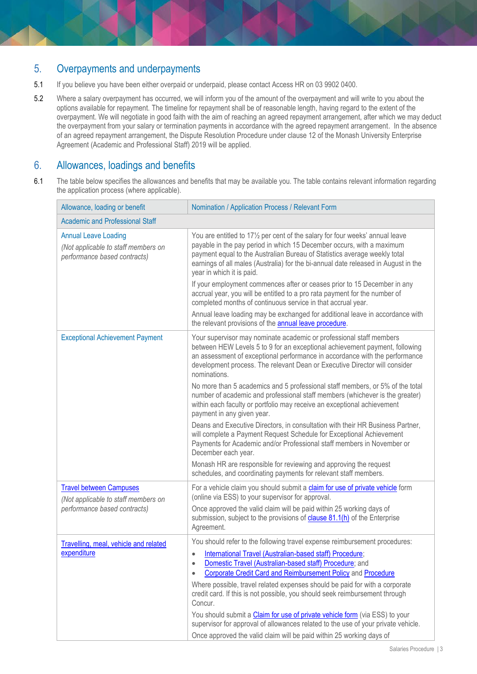# 5. Overpayments and underpayments

- 5.1 If you believe you have been either overpaid or underpaid, please contact Access HR on 03 9902 0400.
- 5.2 Where a salary overpayment has occurred, we will inform you of the amount of the overpayment and will write to you about the options available for repayment. The timeline for repayment shall be of reasonable length, having regard to the extent of the overpayment. We will negotiate in good faith with the aim of reaching an agreed repayment arrangement, after which we may deduct the overpayment from your salary or termination payments in accordance with the agreed repayment arrangement. In the absence of an agreed repayment arrangement, the Dispute Resolution Procedure under clause 12 of the Monash University Enterprise Agreement (Academic and Professional Staff) 2019 will be applied.

## 6. Allowances, loadings and benefits

6.1 The table below specifies the allowances and benefits that may be available you. The table contains relevant information regarding the application process (where applicable).

| Allowance, loading or benefit                                                                         | Nomination / Application Process / Relevant Form                                                                                                                                                                                                                                                                                                                                                                                                                                                                                                                                                                                                                                                                      |  |
|-------------------------------------------------------------------------------------------------------|-----------------------------------------------------------------------------------------------------------------------------------------------------------------------------------------------------------------------------------------------------------------------------------------------------------------------------------------------------------------------------------------------------------------------------------------------------------------------------------------------------------------------------------------------------------------------------------------------------------------------------------------------------------------------------------------------------------------------|--|
| <b>Academic and Professional Staff</b>                                                                |                                                                                                                                                                                                                                                                                                                                                                                                                                                                                                                                                                                                                                                                                                                       |  |
| <b>Annual Leave Loading</b><br>(Not applicable to staff members on<br>performance based contracts)    | You are entitled to 17 <sup>1</sup> / <sub>2</sub> per cent of the salary for four weeks' annual leave<br>payable in the pay period in which 15 December occurs, with a maximum<br>payment equal to the Australian Bureau of Statistics average weekly total<br>earnings of all males (Australia) for the bi-annual date released in August in the<br>year in which it is paid.<br>If your employment commences after or ceases prior to 15 December in any<br>accrual year, you will be entitled to a pro rata payment for the number of<br>completed months of continuous service in that accrual year.                                                                                                             |  |
|                                                                                                       | Annual leave loading may be exchanged for additional leave in accordance with<br>the relevant provisions of the <b>annual leave procedure</b> .                                                                                                                                                                                                                                                                                                                                                                                                                                                                                                                                                                       |  |
| <b>Exceptional Achievement Payment</b>                                                                | Your supervisor may nominate academic or professional staff members<br>between HEW Levels 5 to 9 for an exceptional achievement payment, following<br>an assessment of exceptional performance in accordance with the performance<br>development process. The relevant Dean or Executive Director will consider<br>nominations.                                                                                                                                                                                                                                                                                                                                                                                       |  |
|                                                                                                       | No more than 5 academics and 5 professional staff members, or 5% of the total<br>number of academic and professional staff members (whichever is the greater)<br>within each faculty or portfolio may receive an exceptional achievement<br>payment in any given year.                                                                                                                                                                                                                                                                                                                                                                                                                                                |  |
|                                                                                                       | Deans and Executive Directors, in consultation with their HR Business Partner,<br>will complete a Payment Request Schedule for Exceptional Achievement<br>Payments for Academic and/or Professional staff members in November or<br>December each year.                                                                                                                                                                                                                                                                                                                                                                                                                                                               |  |
|                                                                                                       | Monash HR are responsible for reviewing and approving the request<br>schedules, and coordinating payments for relevant staff members.                                                                                                                                                                                                                                                                                                                                                                                                                                                                                                                                                                                 |  |
| <b>Travel between Campuses</b><br>(Not applicable to staff members on<br>performance based contracts) | For a vehicle claim you should submit a claim for use of private vehicle form<br>(online via ESS) to your supervisor for approval.<br>Once approved the valid claim will be paid within 25 working days of<br>submission, subject to the provisions of clause 81.1(h) of the Enterprise<br>Agreement.                                                                                                                                                                                                                                                                                                                                                                                                                 |  |
| Travelling, meal, vehicle and related<br>expenditure                                                  | You should refer to the following travel expense reimbursement procedures:<br>International Travel (Australian-based staff) Procedure;<br>$\bullet$<br>Domestic Travel (Australian-based staff) Procedure; and<br>۰<br>Corporate Credit Card and Reimbursement Policy and Procedure<br>$\bullet$<br>Where possible, travel related expenses should be paid for with a corporate<br>credit card. If this is not possible, you should seek reimbursement through<br>Concur.<br>You should submit a Claim for use of private vehicle form (via ESS) to your<br>supervisor for approval of allowances related to the use of your private vehicle.<br>Once approved the valid claim will be paid within 25 working days of |  |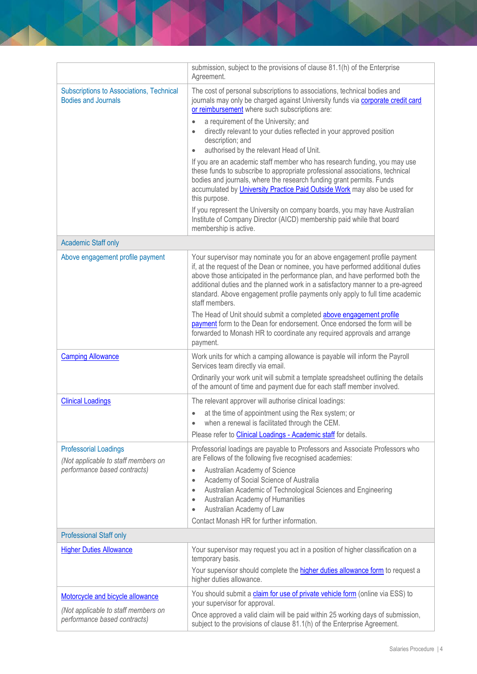|                                                                        | submission, subject to the provisions of clause 81.1(h) of the Enterprise<br>Agreement.                                                                                                                                                                                                                                                                                                                                          |
|------------------------------------------------------------------------|----------------------------------------------------------------------------------------------------------------------------------------------------------------------------------------------------------------------------------------------------------------------------------------------------------------------------------------------------------------------------------------------------------------------------------|
| Subscriptions to Associations, Technical<br><b>Bodies and Journals</b> | The cost of personal subscriptions to associations, technical bodies and<br>journals may only be charged against University funds via corporate credit card<br>or reimbursement where such subscriptions are:                                                                                                                                                                                                                    |
|                                                                        | a requirement of the University; and                                                                                                                                                                                                                                                                                                                                                                                             |
|                                                                        | directly relevant to your duties reflected in your approved position<br>description; and                                                                                                                                                                                                                                                                                                                                         |
|                                                                        | authorised by the relevant Head of Unit.<br>$\bullet$                                                                                                                                                                                                                                                                                                                                                                            |
|                                                                        | If you are an academic staff member who has research funding, you may use<br>these funds to subscribe to appropriate professional associations, technical<br>bodies and journals, where the research funding grant permits. Funds<br>accumulated by <i>University Practice Paid Outside Work</i> may also be used for<br>this purpose.                                                                                           |
|                                                                        | If you represent the University on company boards, you may have Australian<br>Institute of Company Director (AICD) membership paid while that board<br>membership is active.                                                                                                                                                                                                                                                     |
| <b>Academic Staff only</b>                                             |                                                                                                                                                                                                                                                                                                                                                                                                                                  |
| Above engagement profile payment                                       | Your supervisor may nominate you for an above engagement profile payment<br>if, at the request of the Dean or nominee, you have performed additional duties<br>above those anticipated in the performance plan, and have performed both the<br>additional duties and the planned work in a satisfactory manner to a pre-agreed<br>standard. Above engagement profile payments only apply to full time academic<br>staff members. |
|                                                                        | The Head of Unit should submit a completed above engagement profile<br>payment form to the Dean for endorsement. Once endorsed the form will be<br>forwarded to Monash HR to coordinate any required approvals and arrange<br>payment.                                                                                                                                                                                           |
| <b>Camping Allowance</b>                                               | Work units for which a camping allowance is payable will inform the Payroll<br>Services team directly via email.                                                                                                                                                                                                                                                                                                                 |
|                                                                        | Ordinarily your work unit will submit a template spreadsheet outlining the details<br>of the amount of time and payment due for each staff member involved.                                                                                                                                                                                                                                                                      |
| <b>Clinical Loadings</b>                                               | The relevant approver will authorise clinical loadings:                                                                                                                                                                                                                                                                                                                                                                          |
|                                                                        | at the time of appointment using the Rex system; or<br>when a renewal is facilitated through the CEM.                                                                                                                                                                                                                                                                                                                            |
|                                                                        | Please refer to Clinical Loadings - Academic staff for details.                                                                                                                                                                                                                                                                                                                                                                  |
| <b>Professorial Loadings</b><br>(Not applicable to staff members on    | Professorial loadings are payable to Professors and Associate Professors who<br>are Fellows of the following five recognised academies:                                                                                                                                                                                                                                                                                          |
| performance based contracts)                                           | Australian Academy of Science<br>$\bullet$                                                                                                                                                                                                                                                                                                                                                                                       |
|                                                                        | Academy of Social Science of Australia<br>$\bullet$<br>Australian Academic of Technological Sciences and Engineering<br>$\bullet$                                                                                                                                                                                                                                                                                                |
|                                                                        | Australian Academy of Humanities<br>$\bullet$                                                                                                                                                                                                                                                                                                                                                                                    |
|                                                                        | Australian Academy of Law<br>$\bullet$<br>Contact Monash HR for further information.                                                                                                                                                                                                                                                                                                                                             |
| <b>Professional Staff only</b>                                         |                                                                                                                                                                                                                                                                                                                                                                                                                                  |
| <b>Higher Duties Allowance</b>                                         | Your supervisor may request you act in a position of higher classification on a                                                                                                                                                                                                                                                                                                                                                  |
|                                                                        | temporary basis.                                                                                                                                                                                                                                                                                                                                                                                                                 |
|                                                                        | Your supervisor should complete the <b>higher duties allowance form</b> to request a<br>higher duties allowance.                                                                                                                                                                                                                                                                                                                 |
| Motorcycle and bicycle allowance                                       | You should submit a claim for use of private vehicle form (online via ESS) to<br>your supervisor for approval.                                                                                                                                                                                                                                                                                                                   |
| (Not applicable to staff members on<br>performance based contracts)    | Once approved a valid claim will be paid within 25 working days of submission,<br>subject to the provisions of clause 81.1(h) of the Enterprise Agreement.                                                                                                                                                                                                                                                                       |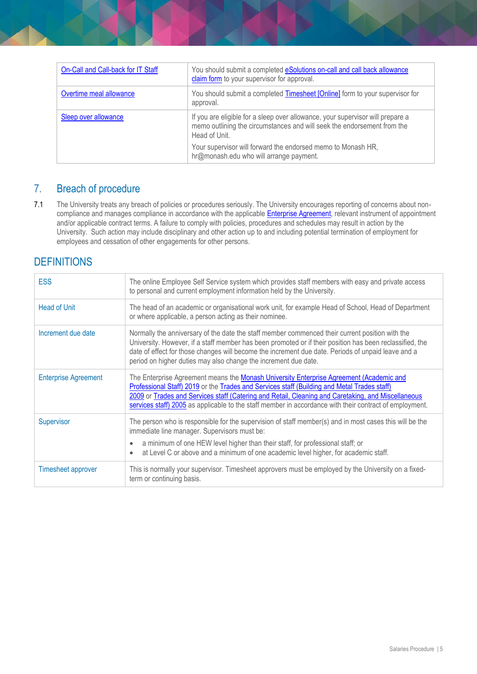| On-Call and Call-back for IT Staff | You should submit a completed eSolutions on-call and call back allowance<br>claim form to your supervisor for approval.                                                    |
|------------------------------------|----------------------------------------------------------------------------------------------------------------------------------------------------------------------------|
| Overtime meal allowance            | You should submit a completed Timesheet [Online] form to your supervisor for<br>approval.                                                                                  |
| Sleep over allowance               | If you are eligible for a sleep over allowance, your supervisor will prepare a<br>memo outlining the circumstances and will seek the endorsement from the<br>Head of Unit. |
|                                    | Your supervisor will forward the endorsed memo to Monash HR,<br>hr@monash.edu who will arrange payment.                                                                    |

## 7. Breach of procedure

7.1 The University treats any breach of policies or procedures seriously. The University encourages reporting of concerns about noncompliance and manages compliance in accordance with the applicable **Enterprise Agreement**, relevant instrument of appointment and/or applicable contract terms. A failure to comply with policies, procedures and schedules may result in action by the University. Such action may include disciplinary and other action up to and including potential termination of employment for employees and cessation of other engagements for other persons.

# **DEFINITIONS**

<span id="page-4-0"></span>

| <b>ESS</b>                  | The online Employee Self Service system which provides staff members with easy and private access<br>to personal and current employment information held by the University.                                                                                                                                                                                                                             |
|-----------------------------|---------------------------------------------------------------------------------------------------------------------------------------------------------------------------------------------------------------------------------------------------------------------------------------------------------------------------------------------------------------------------------------------------------|
| Head of Unit                | The head of an academic or organisational work unit, for example Head of School, Head of Department<br>or where applicable, a person acting as their nominee.                                                                                                                                                                                                                                           |
| Increment due date          | Normally the anniversary of the date the staff member commenced their current position with the<br>University. However, if a staff member has been promoted or if their position has been reclassified, the<br>date of effect for those changes will become the increment due date. Periods of unpaid leave and a<br>period on higher duties may also change the increment due date.                    |
| <b>Enterprise Agreement</b> | The Enterprise Agreement means the Monash University Enterprise Agreement (Academic and<br>Professional Staff) 2019 or the Trades and Services staff (Building and Metal Trades staff)<br>2009 or Trades and Services staff (Catering and Retail, Cleaning and Caretaking, and Miscellaneous<br>services staff) 2005 as applicable to the staff member in accordance with their contract of employment. |
| Supervisor                  | The person who is responsible for the supervision of staff member(s) and in most cases this will be the<br>immediate line manager. Supervisors must be:<br>a minimum of one HEW level higher than their staff, for professional staff; or<br>at Level C or above and a minimum of one academic level higher, for academic staff.                                                                        |
| <b>Timesheet approver</b>   | This is normally your supervisor. Timesheet approvers must be employed by the University on a fixed-<br>term or continuing basis.                                                                                                                                                                                                                                                                       |